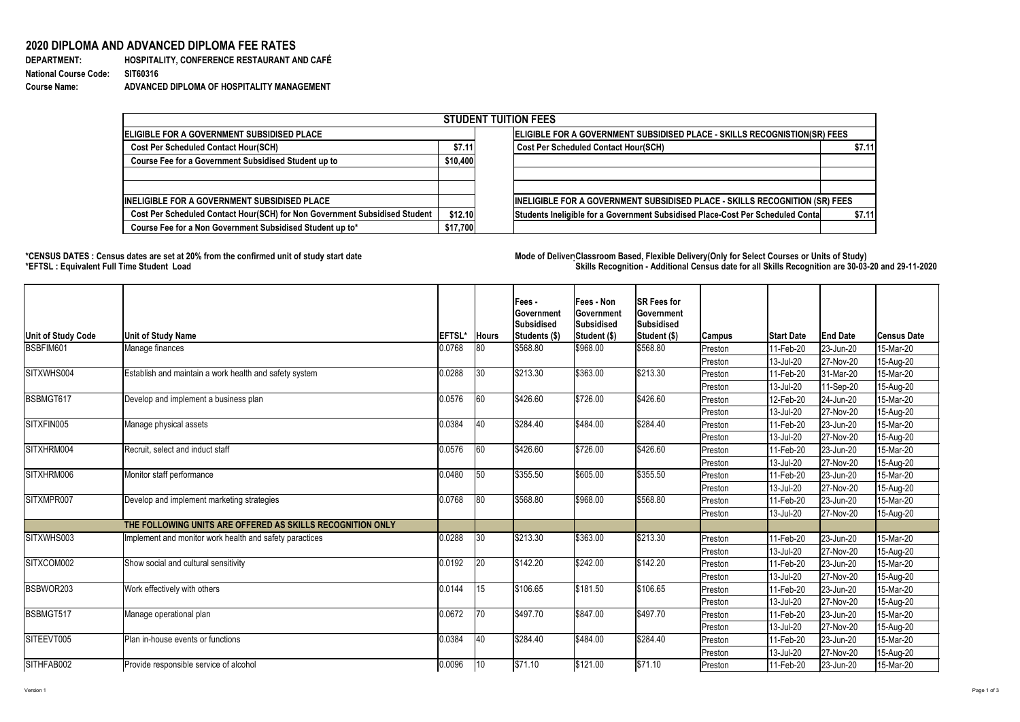Version 1 Page 1 of 3

**DEPARTMENT: HOSPITALITY, CONFERENCE RESTAURANT AND CAFÉ Course Name: ADVANCED DIPLOMA OF HOSPITALITY MANAGEMENT**

## **2020 DIPLOMA AND ADVANCED DIPLOMA FEE RATES**

**National Course Code: SIT60316**

## **\*CENSUS DATES : Census dates are set at 20% from the confirmed unit of study start date Mode of DeliveryClassroom Based, Flexible Delivery(Only for Select Courses or Units of Study) \*EFTSL : Equivalent Full Time Student Load Skills Recognition - Additional Census date for all Skills Recognition are 30-03-20 and 29-11-2020**



| <b>STUDENT TUITION FEES</b>                                                |                                                                           |                                                                                |        |  |  |  |  |  |
|----------------------------------------------------------------------------|---------------------------------------------------------------------------|--------------------------------------------------------------------------------|--------|--|--|--|--|--|
| ELIGIBLE FOR A GOVERNMENT SUBSIDISED PLACE                                 | ELIGIBLE FOR A GOVERNMENT SUBSIDISED PLACE - SKILLS RECOGNISTION(SR) FEES |                                                                                |        |  |  |  |  |  |
| <b>Cost Per Scheduled Contact Hour(SCH)</b>                                | \$7.11                                                                    | <b>Cost Per Scheduled Contact Hour(SCH)</b>                                    | \$7.11 |  |  |  |  |  |
| <b>Course Fee for a Government Subsidised Student up to</b>                | \$10,400                                                                  |                                                                                |        |  |  |  |  |  |
| <b>INELIGIBLE FOR A GOVERNMENT SUBSIDISED PLACE</b>                        |                                                                           | INELIGIBLE FOR A GOVERNMENT SUBSIDISED PLACE - SKILLS RECOGNITION (SR) FEES    |        |  |  |  |  |  |
| Cost Per Scheduled Contact Hour(SCH) for Non Government Subsidised Student | \$12.10                                                                   |                                                                                |        |  |  |  |  |  |
|                                                                            |                                                                           | Students Ineligible for a Government Subsidised Place-Cost Per Scheduled Conta | \$7.11 |  |  |  |  |  |
| Course Fee for a Non Government Subsidised Student up to*                  | \$17,700                                                                  |                                                                                |        |  |  |  |  |  |

| <b>Unit of Study Code</b> | <b>Unit of Study Name</b>                                  | <b>EFTSL*</b> | <b>Hours</b>  | Fees -<br><b>Government</b><br><b>Subsidised</b><br>Students (\$) | <b>Fees - Non</b><br>∣Government<br>Subsidised<br>Student (\$) | <b>SR Fees for</b><br><b>Government</b><br><b>Subsidised</b><br>Student (\$) | Campus         | <b>Start Date</b> | <b>End Date</b> | <b>Census Date</b> |
|---------------------------|------------------------------------------------------------|---------------|---------------|-------------------------------------------------------------------|----------------------------------------------------------------|------------------------------------------------------------------------------|----------------|-------------------|-----------------|--------------------|
| BSBFIM601                 | Manage finances                                            | 0.0768        | 80            | \$568.80                                                          | \$968.00                                                       | \$568.80                                                                     | Preston        | 11-Feb-20         | 23-Jun-20       | 15-Mar-20          |
|                           |                                                            |               |               |                                                                   |                                                                |                                                                              | Preston        | 13-Jul-20         | 27-Nov-20       | 15-Aug-20          |
| SITXWHS004                | Establish and maintain a work health and safety system     | 0.0288        | $ 30\rangle$  | \$213.30                                                          | \$363.00                                                       | \$213.30                                                                     | Preston        | 11-Feb-20         | 31-Mar-20       | 15-Mar-20          |
|                           |                                                            |               |               |                                                                   |                                                                |                                                                              | Preston        | 13-Jul-20         | $11-Sep-20$     | 15-Aug-20          |
| BSBMGT617                 | Develop and implement a business plan                      | 0.0576        | 60            | \$426.60                                                          | \$726.00                                                       | \$426.60                                                                     | Preston        | 12-Feb-20         | 24-Jun-20       | 15-Mar-20          |
|                           |                                                            |               |               |                                                                   |                                                                |                                                                              | Preston        | 13-Jul-20         | 27-Nov-20       | 15-Aug-20          |
| SITXFIN005                | Manage physical assets                                     | 0.0384        | $ 40\rangle$  | \$284.40                                                          | \$484.00                                                       | \$284.40                                                                     | Preston        | 11-Feb-20         | 23-Jun-20       | 15-Mar-20          |
|                           |                                                            |               |               |                                                                   |                                                                |                                                                              | Preston        | 13-Jul-20         | 27-Nov-20       | 15-Aug-20          |
| SITXHRM004                | Recruit, select and induct staff                           | 0.0576        | 60            | \$426.60                                                          | \$726.00                                                       | \$426.60                                                                     | Preston        | 11-Feb-20         | 23-Jun-20       | 15-Mar-20          |
|                           |                                                            |               |               |                                                                   |                                                                |                                                                              | Preston        | $ 13 -$ Jul-20    | 27-Nov-20       | 15-Aug-20          |
| SITXHRM006                | Monitor staff performance                                  | 0.0480        | $\sqrt{50}$   | \$355.50                                                          | \$605.00                                                       | \$355.50                                                                     | Preston_       | 11-Feb-20         | $ 23 - Jun-20 $ | 15-Mar-20          |
|                           |                                                            |               |               |                                                                   |                                                                |                                                                              | Preston        | $ 13 -$ Jul-20    | 27-Nov-20       | 15-Aug-20          |
| SITXMPR007                | Develop and implement marketing strategies                 | 0.0768        | 80            | \$568.80                                                          | \$968.00                                                       | \$568.80                                                                     | Preston        | $ 11-Feb-20$      | $ 23 - Jun-20 $ | 15-Mar-20          |
|                           |                                                            |               |               |                                                                   |                                                                |                                                                              | <b>Preston</b> | $ 13 -$ Jul-20    | 27-Nov-20       | 15-Aug-20          |
|                           | THE FOLLOWING UNITS ARE OFFERED AS SKILLS RECOGNITION ONLY |               |               |                                                                   |                                                                |                                                                              |                |                   |                 |                    |
| SITXWHS003                | Implement and monitor work health and safety paractices    | 0.0288        | $ 30\rangle$  | \$213.30                                                          | \$363.00                                                       | \$213.30                                                                     | Preston        | $ 11-Feb-20$      | 23-Jun-20       | 15-Mar-20          |
|                           |                                                            |               |               |                                                                   |                                                                |                                                                              | Preston_       | 13-Jul-20         | 27-Nov-20       | 15-Aug-20          |
| SITXCOM002                | Show social and cultural sensitivity                       | 0.0192        | 20            | \$142.20                                                          | \$242.00                                                       | \$142.20                                                                     | Preston        | 11-Feb-20         | 23-Jun-20       | 15-Mar-20          |
|                           |                                                            |               |               |                                                                   |                                                                |                                                                              | Preston_       | 13-Jul-20         | 27-Nov-20       | 15-Aug-20          |
| BSBWOR203                 | Work effectively with others                               | 0.0144        | $ 15\rangle$  | \$106.65                                                          | \$181.50                                                       | \$106.65                                                                     | Preston        | 11-Feb-20         | 23-Jun-20       | 15-Mar-20          |
|                           |                                                            |               |               |                                                                   |                                                                |                                                                              | Preston        | $ 13 -$ Jul-20    | 27-Nov-20       | 15-Aug-20          |
| BSBMGT517                 | Manage operational plan                                    | 0.0672        | $ 70\rangle$  | \$497.70                                                          | \$847.00                                                       | \$497.70                                                                     | Preston        | 11-Feb-20         | $ 23 - Jun-20 $ | 15-Mar-20          |
|                           |                                                            |               |               |                                                                   |                                                                |                                                                              | Preston        | $ 13 -$ Jul-20    | 27-Nov-20       | 15-Aug-20          |
| SITEEVT005                | Plan in-house events or functions                          | 0.0384        | <sup>40</sup> | \$284.40                                                          | \$484.00                                                       | \$284.40                                                                     | Preston        | 11-Feb-20         | $ 23 - Jun-20 $ | 15-Mar-20          |
|                           |                                                            |               |               |                                                                   |                                                                |                                                                              | Preston_       | $ 13 -$ Jul-20    | 27-Nov-20       | 15-Aug-20          |
| SITHFAB002                | Provide responsible service of alcohol                     | 0.0096        | $ 10\rangle$  | \$71.10                                                           | \$121.00                                                       | $\sqrt{$71.10}$                                                              | Preston        | $ 11-Feb-20 $     | 23-Jun-20       | 15-Mar-20          |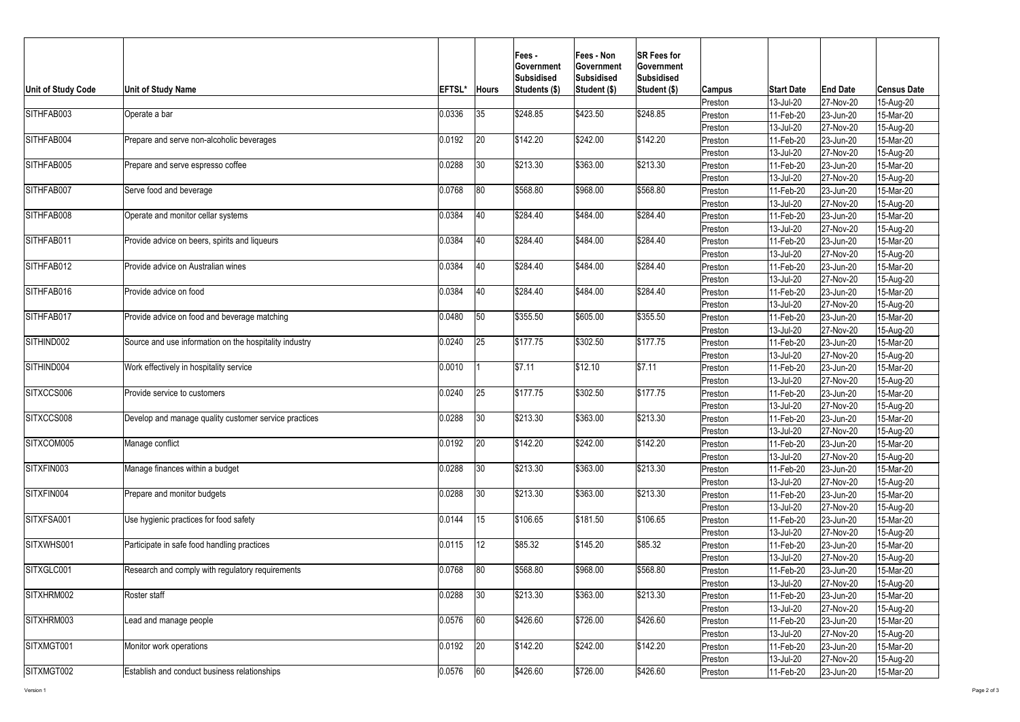

| <b>Unit of Study Code</b>  | <b>Unit of Study Name</b>                              | <b>EFTSL*</b> | <b>Hours</b> | $Fees -$<br><b>IGovernment</b><br><b>Subsidised</b><br>Students (\$) | <b>Fees - Non</b><br><b>Government</b><br>Subsidised<br>Student (\$) | <b>SR Fees for</b><br><b>Government</b><br>Subsidised<br>Student (\$) | <b>Campus</b>      | <b>Start Date</b>      | <b>End Date</b>                                                                                                                                                                                                                                                                                                                             | <b>Census Date</b>     |
|----------------------------|--------------------------------------------------------|---------------|--------------|----------------------------------------------------------------------|----------------------------------------------------------------------|-----------------------------------------------------------------------|--------------------|------------------------|---------------------------------------------------------------------------------------------------------------------------------------------------------------------------------------------------------------------------------------------------------------------------------------------------------------------------------------------|------------------------|
|                            |                                                        |               |              |                                                                      |                                                                      |                                                                       | Preston            | 13-Jul-20              | 27-Nov-20                                                                                                                                                                                                                                                                                                                                   | 15-Aug-20              |
| SITHFAB003                 | Operate a bar                                          | 0.0336        | 35           | \$248.85                                                             | \$423.50                                                             | \$248.85                                                              | Preston            | 11-Feb-20              | 23-Jun-20                                                                                                                                                                                                                                                                                                                                   | 15-Mar-20              |
|                            |                                                        |               |              |                                                                      |                                                                      |                                                                       | Preston            | 13-Jul-20              | 27-Nov-20                                                                                                                                                                                                                                                                                                                                   | 15-Aug-20              |
| SITHFAB004                 | Prepare and serve non-alcoholic beverages              | 0.0192        | 20           | \$142.20                                                             | \$242.00                                                             | \$142.20                                                              | Preston            | 11-Feb-20              | 23-Jun-20                                                                                                                                                                                                                                                                                                                                   | 15-Mar-20              |
|                            |                                                        |               |              |                                                                      |                                                                      |                                                                       | Preston            | 13-Jul-20              | 27-Nov-20                                                                                                                                                                                                                                                                                                                                   | 15-Aug-20              |
| SITHFAB005                 | Prepare and serve espresso coffee                      | 0.0288        | 30           | \$213.30                                                             | \$363.00                                                             | \$213.30                                                              | Preston            | 11-Feb-20              | 23-Jun-20                                                                                                                                                                                                                                                                                                                                   | 15-Mar-20              |
|                            |                                                        |               |              |                                                                      |                                                                      |                                                                       | Preston            | $13$ -Jul-20           | 27-Nov-20                                                                                                                                                                                                                                                                                                                                   | 15-Aug-20              |
| SITHFAB007                 | Serve food and beverage                                | 0.0768        | 80           | \$568.80                                                             | \$968.00                                                             | \$568.80                                                              | Preston            | 11-Feb-20              | 23-Jun-20                                                                                                                                                                                                                                                                                                                                   | 15-Mar-20              |
|                            |                                                        |               |              |                                                                      |                                                                      |                                                                       | Preston            | 13-Jul-20              | 27-Nov-20                                                                                                                                                                                                                                                                                                                                   | 15-Aug-20              |
| SITHFAB008                 | Operate and monitor cellar systems                     | 0.0384        | 40           | \$284.40                                                             | \$484.00                                                             | \$284.40                                                              | Preston            | 11-Feb-20              | 23-Jun-20                                                                                                                                                                                                                                                                                                                                   | 15-Mar-20              |
|                            |                                                        |               |              |                                                                      |                                                                      |                                                                       | Preston            | 13-Jul-20              | 27-Nov-20                                                                                                                                                                                                                                                                                                                                   | 15-Aug-20              |
| SITHFAB011                 | Provide advice on beers, spirits and liqueurs          | 0.0384        | 40           | \$284.40                                                             | \$484.00                                                             | \$284.40                                                              | Preston            | 11-Feb-20              | 23-Jun-20                                                                                                                                                                                                                                                                                                                                   | 15-Mar-20              |
|                            |                                                        |               |              |                                                                      |                                                                      |                                                                       | Preston            | 13-Jul-20              | 27-Nov-20                                                                                                                                                                                                                                                                                                                                   | 15-Aug-20              |
| SITHFAB012                 | Provide advice on Australian wines                     | 0.0384        | <b>40</b>    | \$284.40                                                             | \$484.00                                                             | \$284.40                                                              | Preston            | 11-Feb-20              |                                                                                                                                                                                                                                                                                                                                             | 15-Mar-20              |
|                            |                                                        |               |              |                                                                      |                                                                      |                                                                       | Preston            | 13-Jul-20              |                                                                                                                                                                                                                                                                                                                                             | 15-Aug-20              |
| SITHFAB016                 | Provide advice on food                                 | 0.0384        | 40           | \$284.40                                                             | \$484.00                                                             | \$284.40                                                              | Preston            | 11-Feb-20              |                                                                                                                                                                                                                                                                                                                                             | 15-Mar-20              |
|                            |                                                        |               |              |                                                                      |                                                                      |                                                                       | Preston            | 13-Jul-20              |                                                                                                                                                                                                                                                                                                                                             | 15-Aug-20              |
| SITHFAB017                 | Provide advice on food and beverage matching           | 0.0480        | 50           | \$355.50                                                             | \$605.00                                                             | \$355.50                                                              | Preston            | 11-Feb-20              |                                                                                                                                                                                                                                                                                                                                             | 15-Mar-20              |
|                            |                                                        |               |              |                                                                      |                                                                      |                                                                       | Preston            | 13-Jul-20              |                                                                                                                                                                                                                                                                                                                                             | 15-Aug-20              |
| SITHIND002                 | Source and use information on the hospitality industry | 0.0240        | 25           | \$177.75                                                             | \$302.50                                                             | $\frac{1}{1}$ \$177.75                                                | Preston            | 11-Feb-20              |                                                                                                                                                                                                                                                                                                                                             | 15-Mar-20              |
|                            |                                                        |               |              |                                                                      |                                                                      |                                                                       | Preston            | 13-Jul-20              |                                                                                                                                                                                                                                                                                                                                             | 15-Aug-20              |
| SITHIND004                 | Work effectively in hospitality service                | 0.0010        |              | \$7.11                                                               | \$12.10                                                              | \$7.11                                                                | Preston            | 11-Feb-20              |                                                                                                                                                                                                                                                                                                                                             | 15-Mar-20              |
|                            |                                                        |               |              |                                                                      |                                                                      |                                                                       | Preston            | 13-Jul-20              |                                                                                                                                                                                                                                                                                                                                             | 15-Aug-20              |
| SITXCCS006                 | Provide service to customers                           | 0.0240        | 25           | \$177.75                                                             | \$302.50                                                             | $\frac{1}{1}$ \$177.75                                                | Preston            | 11-Feb-20              |                                                                                                                                                                                                                                                                                                                                             | 15-Mar-20              |
|                            |                                                        |               |              |                                                                      |                                                                      |                                                                       | Preston            | 13-Jul-20              |                                                                                                                                                                                                                                                                                                                                             | 15-Aug-20              |
| SITXCCS008                 | Develop and manage quality customer service practices  | 0.0288        | 30           | \$213.30                                                             | \$363.00                                                             | \$213.30                                                              | Preston            | 11-Feb-20              |                                                                                                                                                                                                                                                                                                                                             | 15-Mar-20              |
|                            |                                                        |               |              |                                                                      |                                                                      |                                                                       | Preston_           | 13-Jul-20              |                                                                                                                                                                                                                                                                                                                                             | 15-Aug-20              |
| SITXCOM005                 | Manage conflict                                        | 0.0192        | 20           | \$142.20                                                             | \$242.00                                                             | \$142.20                                                              | Preston            | 11-Feb-20              |                                                                                                                                                                                                                                                                                                                                             | 15-Mar-20              |
| SITXFIN003                 |                                                        |               | 30           | \$213.30                                                             | \$363.00                                                             | \$213.30                                                              | <b>Preston</b>     | 13-Jul-20              |                                                                                                                                                                                                                                                                                                                                             | 15-Aug-20              |
|                            | Manage finances within a budget                        | 0.0288        |              |                                                                      |                                                                      |                                                                       | Preston            | 11-Feb-20              |                                                                                                                                                                                                                                                                                                                                             | 15-Mar-20              |
| SITXFIN004                 | Prepare and monitor budgets                            | 0.0288        | 30           | \$213.30                                                             | \$363.00                                                             | \$213.30                                                              | Preston            | $13$ -Jul-20           | $ 23 - Jun-20 $<br>27-Nov-20<br>23-Jun-20<br>27-Nov-20<br>23-Jun-20<br>27-Nov-20<br>$ 23 - Jun-20 $<br>27-Nov-20<br>23-Jun-20<br>27-Nov-20<br>23-Jun-20<br>27-Nov-20<br>$ 23 - Jun-20 $<br>27-Nov-20<br>$ 23 - Jun-20 $<br>27-Nov-20<br>$ 23 - Jun-20 $<br>27-Nov-20<br>23-Jun-20<br>27-Nov-20<br>23-Jun-20<br>27-Nov-20<br>$ 23 - Jun-20 $ | 15-Aug-20              |
|                            |                                                        |               |              |                                                                      |                                                                      |                                                                       | Preston            | 11-Feb-20              |                                                                                                                                                                                                                                                                                                                                             | 15-Mar-20              |
| SITXFSA001                 | Use hygienic practices for food safety                 | 0.0144        | 15           | \$106.65                                                             | \$181.50                                                             | \$106.65                                                              | Preston            | 13-Jul-20<br>11-Feb-20 |                                                                                                                                                                                                                                                                                                                                             | 15-Aug-20              |
|                            |                                                        |               |              |                                                                      |                                                                      |                                                                       | Preston            | 13-Jul-20              |                                                                                                                                                                                                                                                                                                                                             | 15-Mar-20              |
| SITXWHS001                 | Participate in safe food handling practices            | 0.0115        | 12           | \$85.32                                                              | \$145.20                                                             | \$85.32                                                               | Preston            | 11-Feb-20              |                                                                                                                                                                                                                                                                                                                                             | 15-Aug-20<br>15-Mar-20 |
|                            |                                                        |               |              |                                                                      |                                                                      |                                                                       | Preston<br>Preston | 13-Jul-20              | 27-Nov-20                                                                                                                                                                                                                                                                                                                                   | 15-Aug-20              |
| SITXGLC001                 | Research and comply with regulatory requirements       | 0.0768        | 80           | \$568.80                                                             | \$968.00                                                             | \$568.80                                                              | Preston            | 11-Feb-20              | 23-Jun-20                                                                                                                                                                                                                                                                                                                                   | 15-Mar-20              |
|                            |                                                        |               |              |                                                                      |                                                                      |                                                                       | Preston            | 13-Jul-20              | 27-Nov-20                                                                                                                                                                                                                                                                                                                                   | 15-Aug-20              |
| SITXHRM002<br>Roster staff |                                                        | 0.0288        | 30           | \$213.30                                                             | \$363.00                                                             | \$213.30                                                              | Preston            | 11-Feb-20              | $ 23 - Jun-20 $                                                                                                                                                                                                                                                                                                                             | 15-Mar-20              |
|                            |                                                        |               |              |                                                                      |                                                                      |                                                                       | Preston            | 13-Jul-20              | 27-Nov-20                                                                                                                                                                                                                                                                                                                                   | 15-Aug-20              |
| SITXHRM003                 | Lead and manage people                                 | 0.0576        | 60           | \$426.60                                                             | \$726.00                                                             | \$426.60                                                              | Preston            | 11-Feb-20              | $ 23 - Jun-20 $                                                                                                                                                                                                                                                                                                                             | 15-Mar-20              |
|                            |                                                        |               |              |                                                                      |                                                                      |                                                                       | Preston            | 13-Jul-20              | 27-Nov-20                                                                                                                                                                                                                                                                                                                                   | 15-Aug-20              |
| SITXMGT001                 | Monitor work operations                                | 0.0192        | 20           | \$142.20                                                             | \$242.00                                                             | \$142.20                                                              | Preston            | 11-Feb-20              | 23-Jun-20                                                                                                                                                                                                                                                                                                                                   | 15-Mar-20              |
|                            |                                                        |               |              |                                                                      |                                                                      |                                                                       | Preston            | 13-Jul-20              | 27-Nov-20                                                                                                                                                                                                                                                                                                                                   | 15-Aug-20              |
| SITXMGT002                 | <b>Establish and conduct business relationships</b>    | 0.0576        | 60           | \$426.60                                                             | \$726.00                                                             | \$426.60                                                              | Preston            | 11-Feb-20              | 23-Jun-20                                                                                                                                                                                                                                                                                                                                   | 15-Mar-20              |
|                            |                                                        |               |              |                                                                      |                                                                      |                                                                       |                    |                        |                                                                                                                                                                                                                                                                                                                                             |                        |